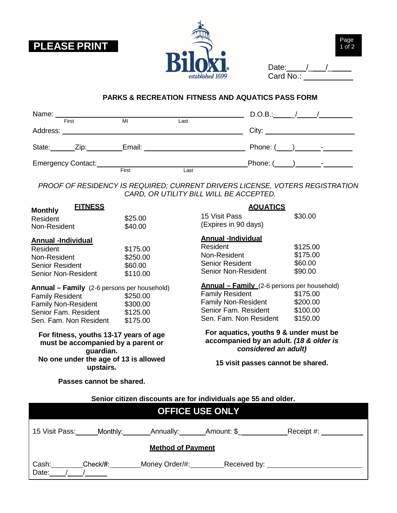





| Date:     |  |  |
|-----------|--|--|
| Card No.: |  |  |

## **PARKS & RECREATION FITNESS AND AQUATICS PASS FORM**

| Name:    |                    |        |      | D.O.B.: $\qquad \qquad / \qquad \qquad /$ |  |
|----------|--------------------|--------|------|-------------------------------------------|--|
|          | First              | MI     | Last |                                           |  |
| Address: |                    |        |      |                                           |  |
|          |                    |        |      |                                           |  |
| State:   | Zip:               | Email: |      |                                           |  |
|          | Emergency Contact: |        |      |                                           |  |
|          |                    | First  | Last |                                           |  |

*PROOF OF RESIDENCY IS REQUIRED; CURRENT DRIVERS LICENSE, VOTERS REGISTRATION CARD, OR UTILITY BILL WILL BE ACCEPTED.*

| <b>FITNESS</b><br><b>Monthly</b>                                                                                                                             |                                              | <b>AQUATICS</b>                                                                                                                                              |                                              |  |
|--------------------------------------------------------------------------------------------------------------------------------------------------------------|----------------------------------------------|--------------------------------------------------------------------------------------------------------------------------------------------------------------|----------------------------------------------|--|
| Resident                                                                                                                                                     | \$25.00                                      | 15 Visit Pass                                                                                                                                                | \$30.00                                      |  |
| Non-Resident                                                                                                                                                 | \$40.00                                      | (Expires in 90 days)                                                                                                                                         |                                              |  |
| <b>Annual -Individual</b><br>Resident<br>Non-Resident<br><b>Senior Resident</b><br><b>Senior Non-Resident</b>                                                | \$175.00<br>\$250.00<br>\$60.00<br>\$110.00  | <b>Annual -Individual</b><br>Resident<br>Non-Resident<br>Senior Resident<br><b>Senior Non-Resident</b>                                                       | \$125.00<br>\$175.00<br>\$60.00<br>\$90.00   |  |
| <b>Annual - Family</b> (2-6 persons per household)<br><b>Family Resident</b><br><b>Family Non-Resident</b><br>Senior Fam. Resident<br>Sen. Fam. Non Resident | \$250.00<br>\$300.00<br>\$125.00<br>\$175.00 | <b>Annual - Family</b> (2-6 persons per household)<br><b>Family Resident</b><br><b>Family Non-Resident</b><br>Senior Fam. Resident<br>Sen. Fam. Non Resident | \$175.00<br>\$200.00<br>\$100.00<br>\$150.00 |  |
| For fitness, youths 13-17 years of age<br>must be accompanied by a parent or<br>guardian.                                                                    |                                              | For aquatics, youths 9 & under must be<br>accompanied by an adult. (18 & older is<br>considered an adult)                                                    |                                              |  |
| No one under the age of 13 is allowed<br>upstairs.                                                                                                           |                                              | 15 visit passes cannot be shared.                                                                                                                            |                                              |  |
| Passes cannot be shared.                                                                                                                                     |                                              |                                                                                                                                                              |                                              |  |
| Senior citizen discounts are for individuals age 55 and older.                                                                                               |                                              |                                                                                                                                                              |                                              |  |
|                                                                                                                                                              |                                              | <b>OFFICE USE ONLY</b>                                                                                                                                       |                                              |  |

| 15 Visit Pass: | Monthly: | Annually:                | Amount: \$   | Receipt #: |
|----------------|----------|--------------------------|--------------|------------|
|                |          | <b>Method of Payment</b> |              |            |
| Cash:<br>Date: | Check/#: | Money Order/#:           | Received by: |            |